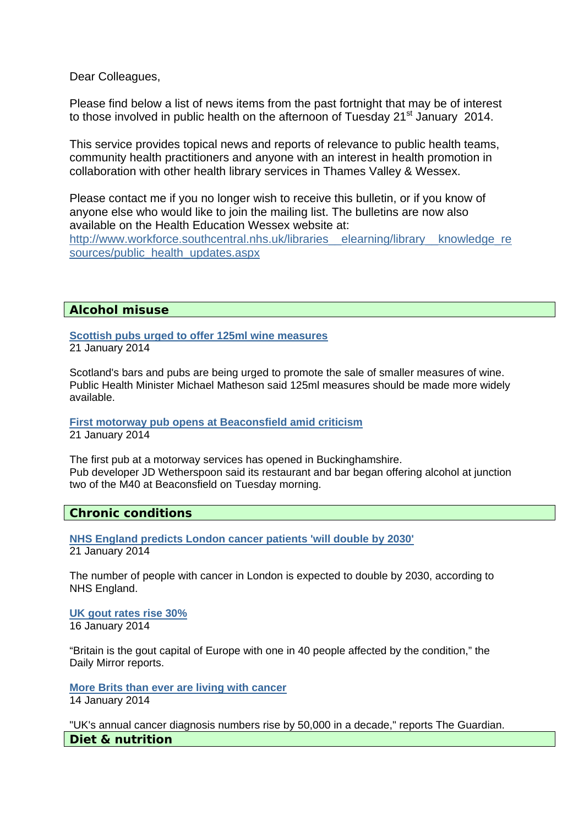Dear Colleagues,

Please find below a list of news items from the past fortnight that may be of interest to those involved in public health on the afternoon of Tuesday 21<sup>st</sup> January 2014.

This service provides topical news and reports of relevance to public health teams, community health practitioners and anyone with an interest in health promotion in collaboration with other health library services in Thames Valley & Wessex.

Please contact me if you no longer wish to receive this bulletin, or if you know of anyone else who would like to join the mailing list. The bulletins are now also available on the Health Education Wessex website at:

http://www.workforce.southcentral.nhs.uk/libraries\_elearning/library\_knowledge\_re [sources/public\\_health\\_updates.aspx](http://www.workforce.southcentral.nhs.uk/libraries__elearning/library__knowledge_resources/public_health_updates.aspx)

# **Alcohol misuse**

**[Scottish pubs urged to offer 125ml wine measures](http://www.bbc.co.uk/news/uk-scotland-south-scotland-25825835)** 21 January 2014

Scotland's bars and pubs are being urged to promote the sale of smaller measures of wine. Public Health Minister Michael Matheson said 125ml measures should be made more widely available.

#### **[First motorway pub opens at Beaconsfield amid criticism](http://www.workforce.southcentral.nhs.uk/Local Settings/Temporary Internet Files/Content.Outlook/75AAAA32/htwww.bbc.co.uk/news/uk-england-beds-bucks-herts-25824255)** 21 January 2014

The first pub at a motorway services has opened in Buckinghamshire. Pub developer JD Wetherspoon said its restaurant and bar began offering alcohol at junction two of the M40 at Beaconsfield on Tuesday morning.

### **Chronic conditions**

**[NHS England predicts London cancer patients 'will double by 2030'](http://www.bbc.co.uk/news/uk-england-london-25826617)** 21 January 2014

The number of people with cancer in London is expected to double by 2030, according to NHS England.

**[UK gout rates rise 30%](http://www.nhs.uk/news/2014/01January/Pages/UK-gout-rates-rise-30.aspx)** 16 January 2014

"Britain is the gout capital of Europe with one in 40 people affected by the condition," the Daily Mirror reports.

**[More Brits than ever are living with cancer](http://www.nhs.uk/news/2014/01January/Pages/more-brits-than-ever-are-living-with-cancer.aspx)** 14 January 2014

"UK's annual cancer diagnosis numbers rise by 50,000 in a decade," reports The Guardian. **Diet & nutrition**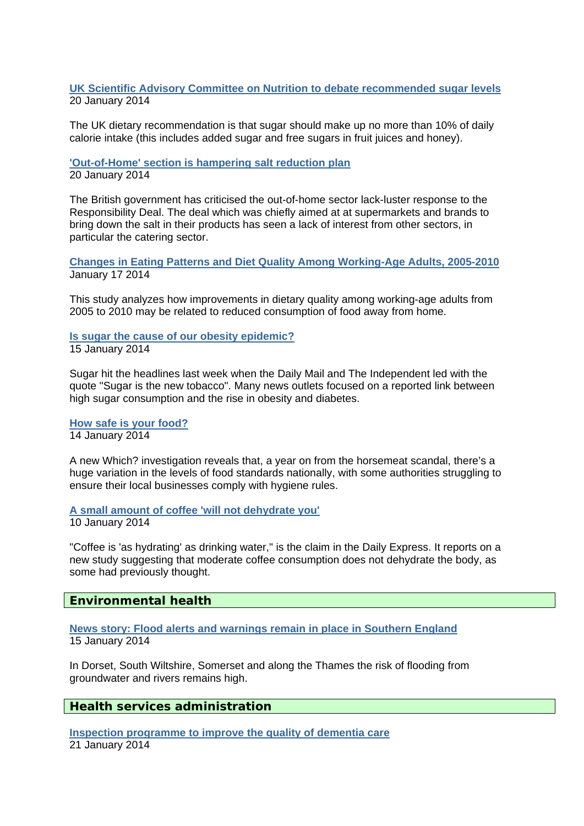### **[UK Scientific Advisory Committee on Nutrition to debate recommended sugar levels](http://www.ukhealthforum.org.uk/prevention/pie/?entryid43=33267)** 20 January 2014

The UK dietary recommendation is that sugar should make up no more than 10% of daily calorie intake (this includes added sugar and free sugars in fruit juices and honey).

**['Out-of-Home' section is hampering salt reduction plan](http://www.ukhealthforum.org.uk/prevention/pie/?entryid43=33265)**  20 January 2014

The British government has criticised the out-of-home sector lack-luster response to the Responsibility Deal. The deal which was chiefly aimed at at supermarkets and brands to bring down the salt in their products has seen a lack of interest from other sectors, in particular the catering sector.

**[Changes in Eating Patterns and Diet Quality Among Working-Age Adults, 2005-2010](http://www.ukhealthforum.org.uk/prevention/pie/?entryid43=33257)**  January 17 2014

This study analyzes how improvements in dietary quality among working-age adults from 2005 to 2010 may be related to reduced consumption of food away from home.

**[Is sugar the cause of our obesity epidemic?](http://www.nhs.uk/news/2014/01January/Pages/sugar-obesity-qa.aspx)** 15 January 2014

Sugar hit the headlines last week when the Daily Mail and The Independent led with the quote "Sugar is the new tobacco". Many news outlets focused on a reported link between high sugar consumption and the rise in obesity and diabetes.

**[How safe is your food?](http://press.which.co.uk/whichpressreleases/how-safe-is-your-food/)** 14 January 2014

A new Which? investigation reveals that, a year on from the horsemeat scandal, there's a huge variation in the levels of food standards nationally, with some authorities struggling to ensure their local businesses comply with hygiene rules.

**[A small amount of coffee 'will not dehydrate you'](http://www.nhs.uk/news/2014/01January/Pages/A-small-amount-of-coffee-will-not-dehydrate-you.aspx)**

10 January 2014

"Coffee is 'as hydrating' as drinking water," is the claim in the Daily Express. It reports on a new study suggesting that moderate coffee consumption does not dehydrate the body, as some had previously thought.

**Environmental health** 

**[News story: Flood alerts and warnings remain in place in Southern England](https://www.gov.uk/government/news/flood-alerts-and-warnings-remain-in-place-in-southern-england)**  15 January 2014

In Dorset, South Wiltshire, Somerset and along the Thames the risk of flooding from groundwater and rivers remains high.

# **Health services administration**

**[Inspection programme to improve the quality of dementia care](http://www.cqc.org.uk/public/news/inspection-programme-improve-quality-dementia-care)** 21 January 2014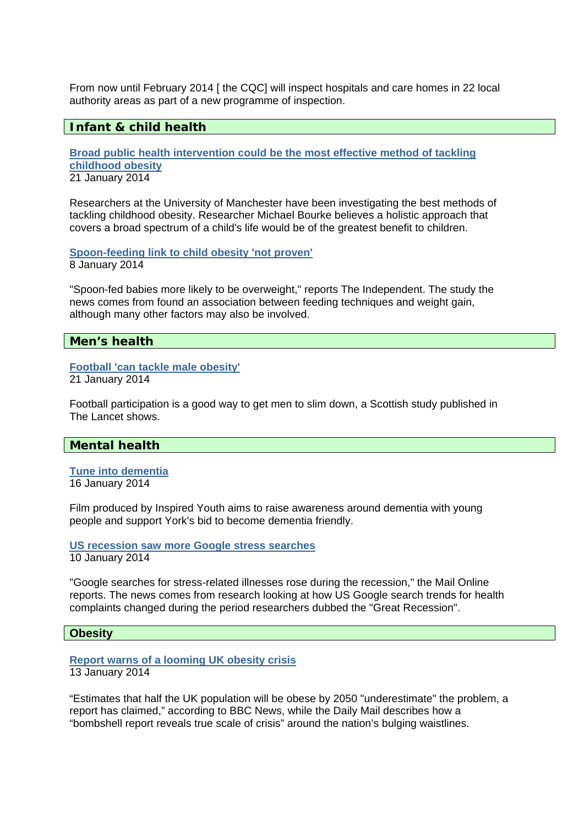From now until February 2014 [ the CQC] will inspect hospitals and care homes in 22 local authority areas as part of a new programme of inspection.

# **Infant & child health**

**[Broad public health intervention could be the most effective method of tackling](http://www.ukhealthforum.org.uk/prevention/pie/?entryid43=33316)  [childhood obesity](http://www.ukhealthforum.org.uk/prevention/pie/?entryid43=33316)** 21 January 2014

Researchers at the University of Manchester have been investigating the best methods of tackling childhood obesity. Researcher Michael Bourke believes a holistic approach that covers a broad spectrum of a child's life would be of the greatest benefit to children.

**[Spoon-feeding link to child obesity 'not proven'](http://www.nhs.uk/news/2014/01January/Pages/Spoon-feeding-link-to-child-obesity-not-proven.aspx)** 8 January 2014

"Spoon-fed babies more likely to be overweight," reports The Independent. The study the news comes from found an association between feeding techniques and weight gain, although many other factors may also be involved.

### **Men's health**

### **[Football 'can tackle male obesity'](http://www.bbc.co.uk/news/health-25807140)**

21 January 2014

Football participation is a good way to get men to slim down, a Scottish study published in The Lancet shows.

# **Mental health**

**[Tune into dementia](http://www.ukhealthforum.org.uk/prevention/pie/?entryid43=33251)**  16 January 2014

Film produced by Inspired Youth aims to raise awareness around dementia with young people and support York's bid to become dementia friendly.

**[US recession saw more Google stress searches](http://www.nhs.uk/news/2014/01January/Pages/US-recession-saw-more-Google-stress-searches.aspx)**

10 January 2014

"Google searches for stress-related illnesses rose during the recession," the Mail Online reports. The news comes from research looking at how US Google search trends for health complaints changed during the period researchers dubbed the "Great Recession".

#### **Obesity**

#### **[Report warns of a looming UK obesity crisis](http://www.nhs.uk/news/2014/01January/Pages/Report-warns-of-a-looming-UK-obesity-crisis.aspx)** 13 January 2014

"Estimates that half the UK population will be obese by 2050 "underestimate" the problem, a report has claimed," according to BBC News, while the Daily Mail describes how a "bombshell report reveals true scale of crisis" around the nation's bulging waistlines.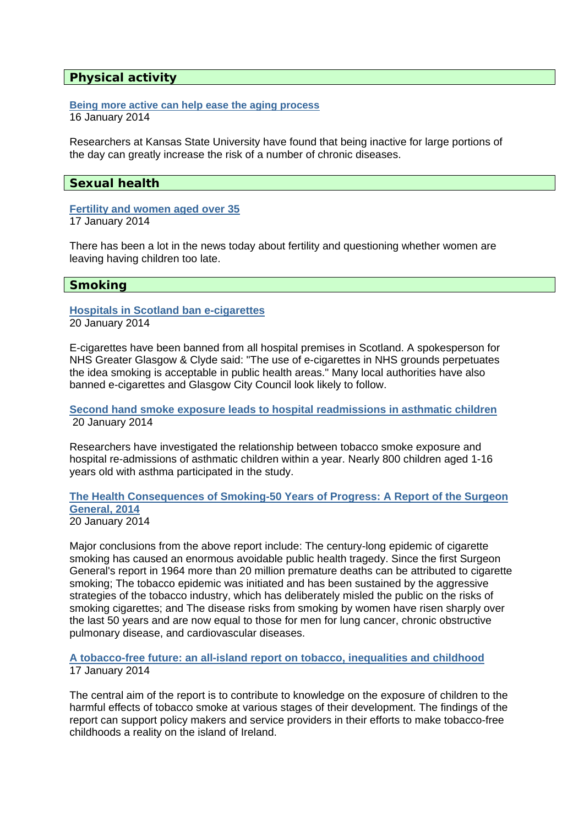## **Physical activity**

#### **[Being more active can help ease the aging process](http://www.ukhealthforum.org.uk/prevention/pie/?entryid43=33253)**  16 January 2014

Researchers at Kansas State University have found that being inactive for large portions of the day can greatly increase the risk of a number of chronic diseases.

# **Sexual health**

# **[Fertility and women aged over 35](http://www.fpa.org.uk/news/fertility-and-women-aged-over-35)**

17 January 2014

There has been a lot in the news today about fertility and questioning whether women are leaving having children too late.

# **Smoking**

#### **[Hospitals in Scotland ban e-cigarettes](http://www.ukhealthforum.org.uk/prevention/pie/?entryid43=33310)** 20 January 2014

E-cigarettes have been banned from all hospital premises in Scotland. A spokesperson for NHS Greater Glasgow & Clyde said: "The use of e-cigarettes in NHS grounds perpetuates the idea smoking is acceptable in public health areas." Many local authorities have also banned e-cigarettes and Glasgow City Council look likely to follow.

**[Second hand smoke exposure leads to hospital readmissions in asthmatic children](http://www.ukhealthforum.org.uk/prevention/pie/?entryid43=33306)** 20 January 2014

Researchers have investigated the relationship between tobacco smoke exposure and hospital re-admissions of asthmatic children within a year. Nearly 800 children aged 1-16 years old with asthma participated in the study.

#### **[The Health Consequences of Smoking-50 Years of Progress: A Report of the Surgeon](http://www.ukhealthforum.org.uk/prevention/pie/?entryid43=33295)  [General, 2014](http://www.ukhealthforum.org.uk/prevention/pie/?entryid43=33295)**  20 January 2014

Major conclusions from the above report include: The century-long epidemic of cigarette smoking has caused an enormous avoidable public health tragedy. Since the first Surgeon General's report in 1964 more than 20 million premature deaths can be attributed to cigarette smoking; The tobacco epidemic was initiated and has been sustained by the aggressive strategies of the tobacco industry, which has deliberately misled the public on the risks of smoking cigarettes; and The disease risks from smoking by women have risen sharply over the last 50 years and are now equal to those for men for lung cancer, chronic obstructive pulmonary disease, and cardiovascular diseases.

**[A tobacco-free future: an all-island report on tobacco, inequalities and childhood](http://www.ukhealthforum.org.uk/prevention/pie/?entryid43=33258)** 17 January 2014

The central aim of the report is to contribute to knowledge on the exposure of children to the harmful effects of tobacco smoke at various stages of their development. The findings of the report can support policy makers and service providers in their efforts to make tobacco-free childhoods a reality on the island of Ireland.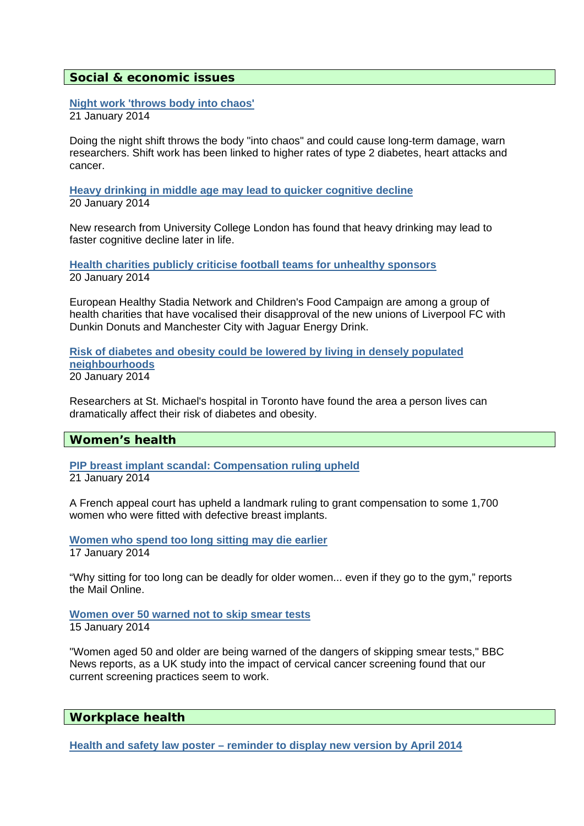### **Social & economic issues**

**[Night work 'throws body into chaos'](http://www.bbc.co.uk/news/health-25812422)** 21 January 2014

Doing the night shift throws the body "into chaos" and could cause long-term damage, warn researchers. Shift work has been linked to higher rates of type 2 diabetes, heart attacks and cancer.

**[Heavy drinking in middle age may lead to quicker cognitive decline](http://www.ukhealthforum.org.uk/prevention/pie/?entryid43=33293)**  20 January 2014

New research from University College London has found that heavy drinking may lead to faster cognitive decline later in life.

**[Health charities publicly criticise football teams for unhealthy sponsors](http://www.ukhealthforum.org.uk/prevention/pie/?entryid43=33307)**  20 January 2014

European Healthy Stadia Network and Children's Food Campaign are among a group of health charities that have vocalised their disapproval of the new unions of Liverpool FC with Dunkin Donuts and Manchester City with Jaguar Energy Drink.

**[Risk of diabetes and obesity could be lowered by living in densely populated](http://www.ukhealthforum.org.uk/prevention/pie/?entryid43=33292)  [neighbourhoods](http://www.ukhealthforum.org.uk/prevention/pie/?entryid43=33292)**  20 January 2014

Researchers at St. Michael's hospital in Toronto have found the area a person lives can dramatically affect their risk of diabetes and obesity.

#### **Women's health**

**[PIP breast implant scandal: Compensation ruling upheld](http://www.bbc.co.uk/news/world-europe-25831237)** 21 January 2014

A French appeal court has upheld a landmark ruling to grant compensation to some 1,700 women who were fitted with defective breast implants.

**[Women who spend too long sitting may die earlier](http://www.nhs.uk/news/2014/01January/Pages/Women-who-spend-too-long-sitting-may-die-earlier.aspx)**  17 January 2014

"Why sitting for too long can be deadly for older women... even if they go to the gym," reports the Mail Online.

**[Women over 50 warned not to skip smear tests](http://www.nhs.uk/news/2014/01January/Pages/Women-over-50-warned-not-to-skip-smear-tests.aspx)** 15 January 2014

"Women aged 50 and older are being warned of the dangers of skipping smear tests," BBC News reports, as a UK study into the impact of cervical cancer screening found that our current screening practices seem to work.

#### **Workplace health**

**[Health and safety law poster – reminder to display new version by April 2014](http://www.hse.gov.uk/contact/faqs/lawposter.htm)**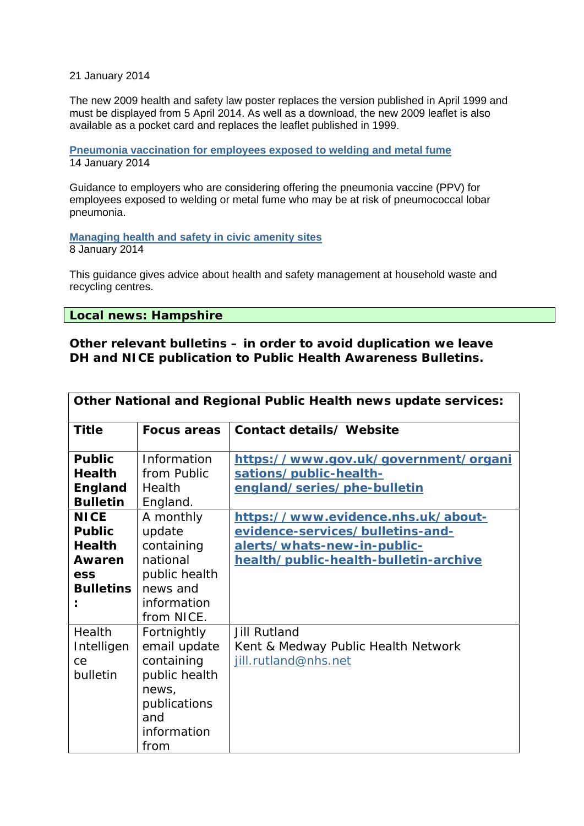21 January 2014

The new 2009 health and safety law poster replaces the version published in April 1999 and must be displayed from 5 April 2014. As well as a download, the new 2009 leaflet is also available as a pocket card and replaces the leaflet published in 1999.

**[Pneumonia vaccination for employees exposed to welding and metal fume](http://www.hse.gov.uk/pubns/eis44.htm)** 14 January 2014

Guidance to employers who are considering offering the pneumonia vaccine (PPV) for employees exposed to welding or metal fume who may be at risk of pneumococcal lobar pneumonia.

**[Managing health and safety in civic amenity sites](http://www.hse.gov.uk/pubns/waste26.htm)** 

8 January 2014

This guidance gives advice about health and safety management at household waste and recycling centres.

**Local news: Hampshire** 

**Other relevant bulletins – in order to avoid duplication we leave DH and NICE publication to Public Health Awareness Bulletins.** 

| Other National and Regional Public Health news update services:                    |                                                                                                                   |                                                                                                                                                |
|------------------------------------------------------------------------------------|-------------------------------------------------------------------------------------------------------------------|------------------------------------------------------------------------------------------------------------------------------------------------|
| <b>Title</b>                                                                       | <b>Focus areas</b>                                                                                                | Contact details/ Website                                                                                                                       |
| <b>Public</b><br><b>Health</b><br><b>England</b><br><b>Bulletin</b>                | Information<br>from Public<br>Health<br>England.                                                                  | https://www.gov.uk/government/organi<br>sations/public-health-<br>england/series/phe-bulletin                                                  |
| <b>NICE</b><br><b>Public</b><br><b>Health</b><br>Awaren<br>ess<br><b>Bulletins</b> | A monthly<br>update<br>containing<br>national<br>public health<br>news and<br>information<br>from NICE.           | https://www.evidence.nhs.uk/about-<br>evidence-services/bulletins-and-<br>alerts/whats-new-in-public-<br>health/public-health-bulletin-archive |
| Health<br>Intelligen<br>Ce<br>bulletin                                             | Fortnightly<br>email update<br>containing<br>public health<br>news,<br>publications<br>and<br>information<br>from | <b>Jill Rutland</b><br>Kent & Medway Public Health Network<br>jill.rutland@nhs.net                                                             |